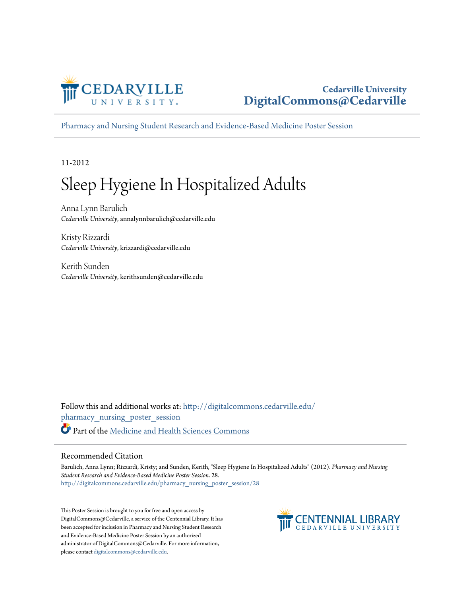

#### **Cedarville University [DigitalCommons@Cedarville](http://digitalcommons.cedarville.edu?utm_source=digitalcommons.cedarville.edu%2Fpharmacy_nursing_poster_session%2F28&utm_medium=PDF&utm_campaign=PDFCoverPages)**

[Pharmacy and Nursing Student Research and Evidence-Based Medicine Poster Session](http://digitalcommons.cedarville.edu/pharmacy_nursing_poster_session?utm_source=digitalcommons.cedarville.edu%2Fpharmacy_nursing_poster_session%2F28&utm_medium=PDF&utm_campaign=PDFCoverPages)

11-2012

#### Sleep Hygiene In Hospitalized Adults

Anna Lynn Barulich *Cedarville University*, annalynnbarulich@cedarville.edu

Kristy Rizzardi *Cedarville University*, krizzardi@cedarville.edu

Kerith Sunden *Cedarville University*, kerithsunden@cedarville.edu

Follow this and additional works at: [http://digitalcommons.cedarville.edu/](http://digitalcommons.cedarville.edu/pharmacy_nursing_poster_session?utm_source=digitalcommons.cedarville.edu%2Fpharmacy_nursing_poster_session%2F28&utm_medium=PDF&utm_campaign=PDFCoverPages) [pharmacy\\_nursing\\_poster\\_session](http://digitalcommons.cedarville.edu/pharmacy_nursing_poster_session?utm_source=digitalcommons.cedarville.edu%2Fpharmacy_nursing_poster_session%2F28&utm_medium=PDF&utm_campaign=PDFCoverPages) Part of the [Medicine and Health Sciences Commons](http://network.bepress.com/hgg/discipline/648?utm_source=digitalcommons.cedarville.edu%2Fpharmacy_nursing_poster_session%2F28&utm_medium=PDF&utm_campaign=PDFCoverPages)

#### Recommended Citation

Barulich, Anna Lynn; Rizzardi, Kristy; and Sunden, Kerith, "Sleep Hygiene In Hospitalized Adults" (2012). *Pharmacy and Nursing Student Research and Evidence-Based Medicine Poster Session*. 28. [http://digitalcommons.cedarville.edu/pharmacy\\_nursing\\_poster\\_session/28](http://digitalcommons.cedarville.edu/pharmacy_nursing_poster_session/28?utm_source=digitalcommons.cedarville.edu%2Fpharmacy_nursing_poster_session%2F28&utm_medium=PDF&utm_campaign=PDFCoverPages)

This Poster Session is brought to you for free and open access by DigitalCommons@Cedarville, a service of the Centennial Library. It has been accepted for inclusion in Pharmacy and Nursing Student Research and Evidence-Based Medicine Poster Session by an authorized administrator of DigitalCommons@Cedarville. For more information, please contact [digitalcommons@cedarville.edu.](mailto:digitalcommons@cedarville.edu)